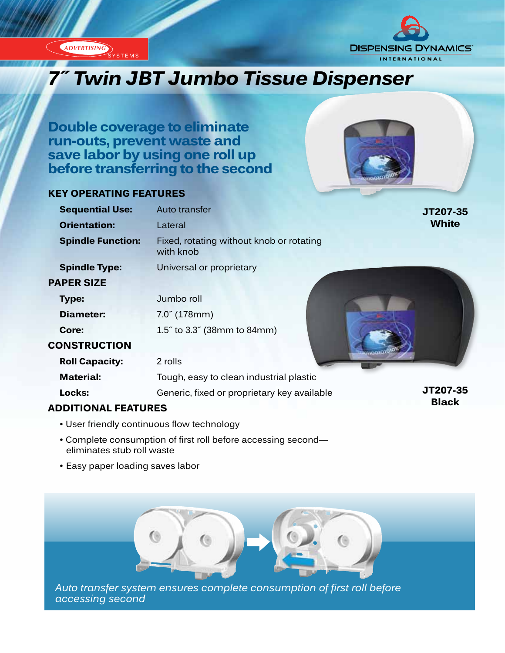



# **7″ Twin JBT Jumbo Tissue Dispenser**

**Double coverage to eliminate run-outs, prevent waste and save labor by using one roll up before transferring to the second**

# **KEY OPERATING FEATURES**



# **ADDITIONAL FEATURES**

- User friendly continuous flow technology
- Complete consumption of first roll before accessing second eliminates stub roll waste
- Easy paper loading saves labor



*Auto transfer system ensures complete consumption of first roll before accessing second*